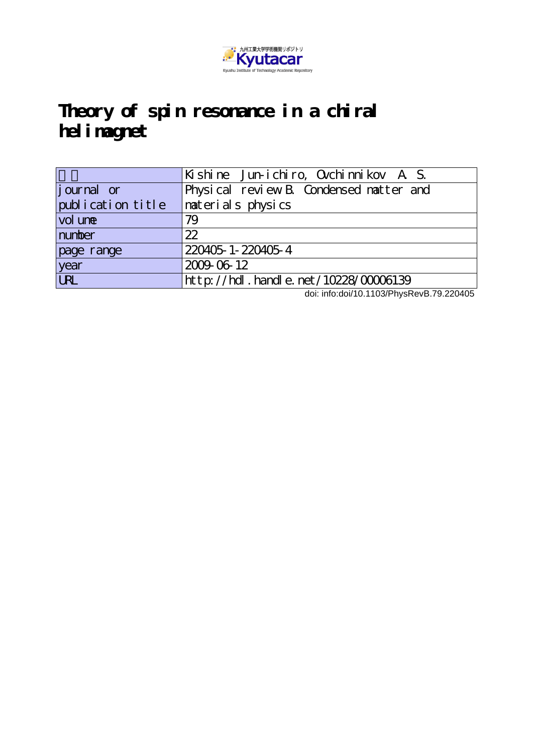

# **Theory of spin resonance in a chiral helimagnet**

|                                   | Kishine Jun-ichiro, Ovchimnikov A S.     |
|-----------------------------------|------------------------------------------|
| journal or                        | Physical review B. Condensed matter and  |
| publication title                 | naterials physics                        |
| vol une                           | 79                                       |
| number                            | 22                                       |
| page range                        | 220405-1-220405-4                        |
| year                              | 2009-06-12                               |
| $\overline{\overline{\text{UL}}}$ | $http://hdl. handle. net/10228/00006139$ |

doi: info:doi/10.1103/PhysRevB.79.220405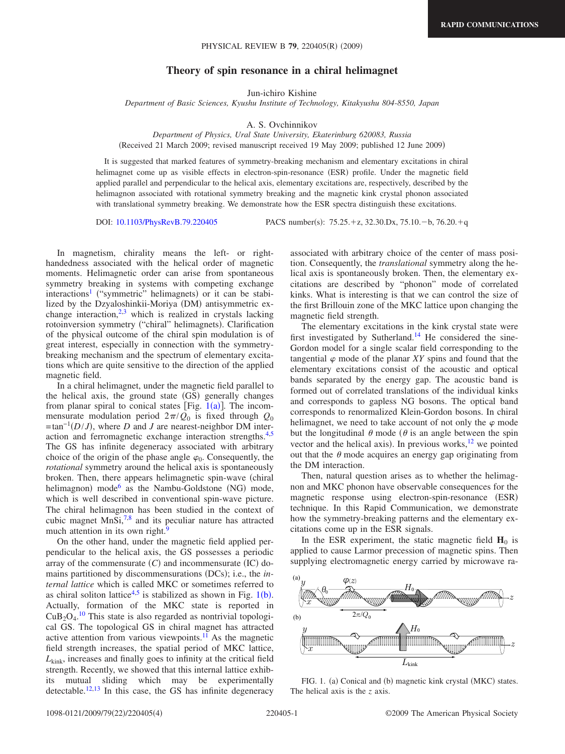# **Theory of spin resonance in a chiral helimagnet**

Jun-ichiro Kishine

*Department of Basic Sciences, Kyushu Institute of Technology, Kitakyushu 804-8550, Japan*

A. S. Ovchinnikov

*Department of Physics, Ural State University, Ekaterinburg 620083, Russia* Received 21 March 2009; revised manuscript received 19 May 2009; published 12 June 2009-

It is suggested that marked features of symmetry-breaking mechanism and elementary excitations in chiral helimagnet come up as visible effects in electron-spin-resonance (ESR) profile. Under the magnetic field applied parallel and perpendicular to the helical axis, elementary excitations are, respectively, described by the helimagnon associated with rotational symmetry breaking and the magnetic kink crystal phonon associated with translational symmetry breaking. We demonstrate how the ESR spectra distinguish these excitations.

DOI: [10.1103/PhysRevB.79.220405](http://dx.doi.org/10.1103/PhysRevB.79.220405)

:  $75.25.+z$ ,  $32.30.Dx$ ,  $75.10.-b$ ,  $76.20.+q$ 

In magnetism, chirality means the left- or righthandedness associated with the helical order of magnetic moments. Helimagnetic order can arise from spontaneous symmetry breaking in systems with competing exchange interactions<sup>1</sup> ("symmetric" helimagnets) or it can be stabilized by the Dzyaloshinkii-Moriya (DM) antisymmetric exchange interaction, $2,3$  $2,3$  which is realized in crystals lacking rotoinversion symmetry ("chiral" helimagnets). Clarification of the physical outcome of the chiral spin modulation is of great interest, especially in connection with the symmetrybreaking mechanism and the spectrum of elementary excitations which are quite sensitive to the direction of the applied magnetic field.

In a chiral helimagnet, under the magnetic field parallel to the helical axis, the ground state (GS) generally changes from planar spiral to conical states [Fig.  $1(a)$  $1(a)$ ]. The incommensurate modulation period  $2\pi/Q_0$  is fixed through  $Q_0$  $=$ tan<sup>-1</sup>(*D*/*J*), where *D* and *J* are nearest-neighbor DM interaction and ferromagnetic exchange interaction strengths[.4](#page-4-3)[,5](#page-4-4) The GS has infinite degeneracy associated with arbitrary choice of the origin of the phase angle  $\varphi_0$ . Consequently, the *rotational* symmetry around the helical axis is spontaneously broken. Then, there appears helimagnetic spin-wave (chiral helimagnon) mode<sup>[6](#page-4-5)</sup> as the Nambu-Goldstone (NG) mode, which is well described in conventional spin-wave picture. The chiral helimagnon has been studied in the context of cubic magnet MnSi[,7,](#page-4-6)[8](#page-4-7) and its peculiar nature has attracted much attention in its own right.<sup>9</sup>

On the other hand, under the magnetic field applied perpendicular to the helical axis, the GS possesses a periodic array of the commensurate  $(C)$  and incommensurate  $(IC)$  domains partitioned by discommensurations (DCs); i.e., the *internal lattice* which is called MKC or sometimes referred to as chiral soliton lattice<sup>4[,5](#page-4-4)</sup> is stabilized as shown in Fig.  $1(b)$  $1(b)$ . Actually, formation of the MKC state is reported in  $CuB<sub>2</sub>O<sub>4</sub>$ .<sup>[10](#page-4-9)</sup> This state is also regarded as nontrivial topological GS. The topological GS in chiral magnet has attracted active attention from various viewpoints. $^{11}$  As the magnetic field strength increases, the spatial period of MKC lattice, *L*kink, increases and finally goes to infinity at the critical field strength. Recently, we showed that this internal lattice exhibits mutual sliding which may be experimentally detectable.<sup>12[,13](#page-4-12)</sup> In this case, the GS has infinite degeneracy associated with arbitrary choice of the center of mass position. Consequently, the *translational* symmetry along the helical axis is spontaneously broken. Then, the elementary excitations are described by "phonon" mode of correlated kinks. What is interesting is that we can control the size of the first Brillouin zone of the MKC lattice upon changing the magnetic field strength.

The elementary excitations in the kink crystal state were first investigated by Sutherland.<sup>14</sup> He considered the sine-Gordon model for a single scalar field corresponding to the tangential  $\varphi$  mode of the planar *XY* spins and found that the elementary excitations consist of the acoustic and optical bands separated by the energy gap. The acoustic band is formed out of correlated translations of the individual kinks and corresponds to gapless NG bosons. The optical band corresponds to renormalized Klein-Gordon bosons. In chiral helimagnet, we need to take account of not only the  $\varphi$  mode but the longitudinal  $\theta$  mode ( $\theta$  is an angle between the spin vector and the helical axis). In previous works, $12$  we pointed out that the  $\theta$  mode acquires an energy gap originating from the DM interaction.

Then, natural question arises as to whether the helimagnon and MKC phonon have observable consequences for the magnetic response using electron-spin-resonance (ESR) technique. In this Rapid Communication, we demonstrate how the symmetry-breaking patterns and the elementary excitations come up in the ESR signals.

In the ESR experiment, the static magnetic field  $H_0$  is applied to cause Larmor precession of magnetic spins. Then supplying electromagnetic energy carried by microwave ra-

<span id="page-1-0"></span>

FIG. 1. (a) Conical and (b) magnetic kink crystal (MKC) states. The helical axis is the *z* axis.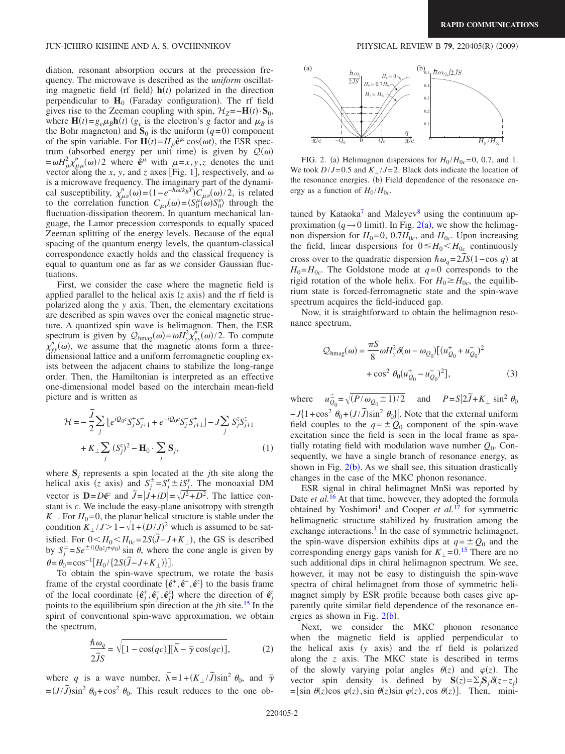diation, resonant absorption occurs at the precession frequency. The microwave is described as the *uniform* oscillating magnetic field (rf field)  $h(t)$  polarized in the direction perpendicular to  $H_0$  (Faraday configuration). The rf field gives rise to the Zeeman coupling with spin,  $\mathcal{H}_Z = -\mathbf{H}(t) \cdot \mathbf{S}_0$ , where  $\mathbf{H}(t) = g_e \mu_B \mathbf{h}(t)$  ( $g_e$  is the electron's *g* factor and  $\mu_B$  is the Bohr magneton) and  $S_0$  is the uniform  $(q=0)$  component of the spin variable. For  $\mathbf{H}(t) = H_{\mu} \hat{\mathbf{e}}^{\mu} \cos(\omega t)$ , the ESR spectrum (absorbed energy per unit time) is given by  $Q(\omega)$  $= \omega H^2 \chi''_{\mu\mu}(\omega)/2$  where  $\hat{e}^\mu$  with  $\mu = x, y, z$  denotes the unit vector along the *x*, *y*, and *z* axes [Fig. [1](#page-1-0)], respectively, and  $\omega$ is a microwave frequency. The imaginary part of the dynamical susceptibility,  $\chi''_{\mu\nu}(\omega) = (1 - e^{-\hbar \omega/k_B T}) C_{\mu\nu}(\omega)/2$ , is related to the correlation function  $C_{\mu\nu}(\omega) = \langle S_0^{\mu}(\omega) S_0^{\nu} \rangle$  through the fluctuation-dissipation theorem. In quantum mechanical language, the Lamor precession corresponds to equally spaced Zeeman splitting of the energy levels. Because of the equal spacing of the quantum energy levels, the quantum-classical correspondence exactly holds and the classical frequency is equal to quantum one as far as we consider Gaussian fluctuations.

First, we consider the case where the magnetic field is applied parallel to the helical axis  $(z \text{ axis})$  and the rf field is polarized along the *y* axis. Then, the elementary excitations are described as spin waves over the conical magnetic structure. A quantized spin wave is helimagnon. Then, the ESR spectrum is given by  $Q_{\text{hmag}}(\omega) = \omega H_y^2 \chi_{yy}^{\prime\prime}(\omega)/2$ . To compute  $\chi''_{yy}(\omega)$ , we assume that the magnetic atoms form a threedimensional lattice and a uniform ferromagnetic coupling exists between the adjacent chains to stabilize the long-range order. Then, the Hamiltonian is interpreted as an effective one-dimensional model based on the interchain mean-field picture and is written as

<span id="page-2-1"></span>
$$
\mathcal{H} = -\frac{\tilde{j}}{2} \sum_{j} \left[ e^{iQ_0 c} S_j^+ S_{j+1}^- + e^{-iQ_0 c} S_j^- S_{j+1}^+ \right] - J \sum_{j} S_j^z S_{j+1}^z + K_{\perp} \sum_{j} (S_j^z)^2 - \mathbf{H}_0 \cdot \sum_{j} \mathbf{S}_j, \tag{1}
$$

where  $S_j$  represents a spin located at the *j*th site along the helical axis (*z* axis) and  $S_j^{\pm} = S_j^x \pm iS_j^y$ . The monoaxial DM vector is  $\mathbf{D} = D\hat{\mathbf{e}}^z$  and  $\vec{J} = |J + iD| = \sqrt{J^2 + D^2}$ . The lattice constant is *c*. We include the easy-plane anisotropy with strength  $K_{\perp}$ . For  $H_0$ =0, the planar helical structure is stable under the condition  $K_{\perp}/J > 1 - \sqrt{1 + (D/J)^2}$  which is assumed to be satisfied. For  $0 \leq H_0 \leq H_{0c} = 2S(\tilde{J} - J + K_{\perp})$ , the GS is described by  $S_j^{\pm} = S e^{\pm i (Q_0 z_j + \varphi_0)} \sin \theta$ , where the cone angle is given by  $\theta = \theta_0 = \cos^{-1}[H_0 / \{2S(\tilde{J} - J + K_{\perp})\}].$ 

To obtain the spin-wave spectrum, we rotate the basis frame of the crystal coordinate  $\{\hat{\mathbf{e}}^+, \hat{\mathbf{e}}^-, \hat{\mathbf{e}}^z\}$  to the basis frame of the local coordinate  $\{\hat{\mathbf{e}}_j^+, \hat{\mathbf{e}}_j^-, \hat{\mathbf{e}}_j^z\}$  where the direction of  $\hat{\mathbf{e}}_j^z$ points to the equilibrium spin direction at the *j*th site[.15](#page-4-14) In the spirit of conventional spin-wave approximation, we obtain the spectrum,

$$
\frac{\hbar \omega_q}{2\tilde{J}S} = \sqrt{[1 - \cos(qc)][\bar{\lambda} - \bar{\gamma}\cos(qc)]},\tag{2}
$$

where *q* is a wave number,  $\overline{\lambda} = 1 + (K_{\perp}/\overline{J})\sin^2 \theta_0$ , and  $\overline{\gamma}$  $=(J/\tilde{J})\sin^2\theta_0+\cos^2\theta_0$ . This result reduces to the one ob-

# $(2009)$

<span id="page-2-0"></span>

FIG. 2. (a) Helimagnon dispersions for  $H_0/H_{0c} = 0$ , 0.7, and 1. We took  $D/J = 0.5$  and  $K / J = 2$ . Black dots indicate the location of the resonance energies. (b) Field dependence of the resonance energy as a function of  $H_0/H_{0c}$ .

tained by Kataoka<sup>7</sup> and Maleyev<sup>8</sup> using the continuum approximation  $(q \rightarrow 0 \text{ limit})$ . In Fig. [2](#page-2-0)(a), we show the helimagnon dispersion for  $H_0 = 0$ , 0.7 $H_{0c}$ , and  $H_{0c}$ . Upon increasing the field, linear dispersions for  $0 \leq H_0 \leq H_{0c}$  continuously cross over to the quadratic dispersion  $\hbar \omega_q = 2\tilde{J}S(1-\cos q)$  at  $H_0 = H_{0c}$ . The Goldstone mode at  $q=0$  corresponds to the rigid rotation of the whole helix. For  $H_0 \ge H_{0c}$ , the equilibrium state is forced-ferromagnetic state and the spin-wave spectrum acquires the field-induced gap.

Now, it is straightforward to obtain the helimagnon resonance spectrum,

$$
\mathcal{Q}_{\text{hmag}}(\omega) = \frac{\pi S}{8} \omega H_y^2 \delta(\omega - \omega_{Q_0}) \left[ (u_{Q_0}^+ + u_{Q_0}^-)^2 + \cos^2 \theta_0 (u_{Q_0}^+ - u_{Q_0}^-)^2 \right],\tag{3}
$$

where  $u_{Q_0}^{\pm} = \sqrt{(P/\omega_{Q_0} \pm 1)/2}$  and  $P = S|2\tilde{J} + K_{\perp} \sin^2 \theta_0$  $-J\{1+\cos^2{\theta_0}+(J/\tilde{J})\sin^2{\theta_0}\}\.$  Note that the external uniform field couples to the  $q = \pm Q_0$  component of the spin-wave excitation since the field is seen in the local frame as spatially rotating field with modulation wave number  $Q_0$ . Consequently, we have a single branch of resonance energy, as shown in Fig.  $2(b)$  $2(b)$ . As we shall see, this situation drastically changes in the case of the MKC phonon resonance.

ESR signal in chiral helimagnet MnSi was reported by Date *et al.*<sup>[16](#page-4-15)</sup> At that time, however, they adopted the formula obtained by Yoshimori<sup>1</sup> and Cooper *et al.*<sup>[17](#page-4-16)</sup> for symmetric helimagnetic structure stabilized by frustration among the exchange interactions.<sup>1</sup> In the case of symmetric helimagnet, the spin-wave dispersion exhibits dips at  $q = \pm Q_0$  and the corresponding energy gaps vanish for  $K_{\perp} = 0.15$  $K_{\perp} = 0.15$  There are no such additional dips in chiral helimagnon spectrum. We see, however, it may not be easy to distinguish the spin-wave spectra of chiral helimagnet from those of symmetric helimagnet simply by ESR profile because both cases give apparently quite similar field dependence of the resonance energies as shown in Fig.  $2(b)$  $2(b)$ .

Next, we consider the MKC phonon resonance when the magnetic field is applied perpendicular to the helical axis (y axis) and the rf field is polarized along the *z* axis. The MKC state is described in terms of the slowly varying polar angles  $\theta(z)$  and  $\varphi(z)$ . The vector spin density is defined by  $S(z) = \sum_j S_j \delta(z - z_j)$  $=$ [sin  $\theta(z)$ cos  $\varphi(z)$ , sin  $\theta(z)$ sin  $\varphi(z)$ , cos  $\theta(z)$ ]. Then, mini-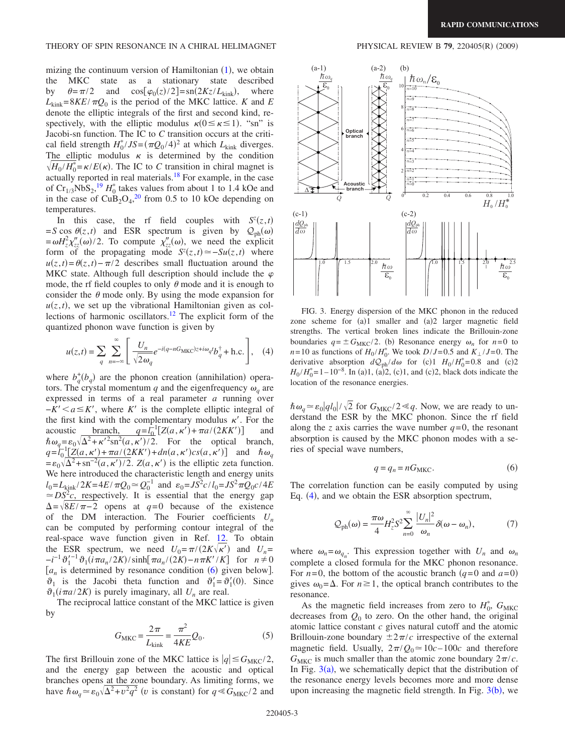#### THEORY OF SPIN RESONANCE IN A CHIRAL HELIMAGNET

mizing the continuum version of Hamiltonian  $(1)$  $(1)$  $(1)$ , we obtain the MKC state as a stationary state described by  $\theta = \pi/2$  and  $\cos[\varphi_0(z)/2] = \text{sn}(2Kz/L_{\text{kink}})$ , where  $L_{\text{kink}} = 8KE/\pi Q_0$  is the period of the MKC lattice. *K* and *E* denote the elliptic integrals of the first and second kind, respectively, with the elliptic modulus  $\kappa(0 \le \kappa \le 1)$ . "sn" is Jacobi-sn function. The IC to *C* transition occurs at the critical field strength  $H_0^*/JS = (\pi Q_0/4)^2$  at which  $L_{\text{kink}}$  diverges. The elliptic modulus  $\kappa$  is determined by the condition  $\sqrt{H_0/H_0^*} = \kappa/E(\kappa)$ . The IC to *C* transition in chiral magnet is actually reported in real materials[.18](#page-4-17) For example, in the case of  $Cr_{1/3}NbS_2$ ,<sup>[19](#page-4-18)</sup>  $H_0^*$  takes values from about 1 to 1.4 kOe and in the case of  $CuB<sub>2</sub>O<sub>4</sub><sup>20</sup>$  $CuB<sub>2</sub>O<sub>4</sub><sup>20</sup>$  $CuB<sub>2</sub>O<sub>4</sub><sup>20</sup>$  from 0.5 to 10 kOe depending on temperatures.

In this case, the rf field couples with  $S^{z}(z,t)$  $=$ *S* cos  $\theta(z,t)$  and ESR spectrum is given by  $Q_{ph}(\omega)$  $=\omega H_z^2 \chi''_{zz}(\omega)/2$ . To compute  $\chi''_{zz}(\omega)$ , we need the explicit form of the propagating mode  $S^{z}(z, t) \approx -S u(z, t)$  where  $u(z,t) = \theta(z,t) - \pi/2$  describes small fluctuation around the MKC state. Although full description should include the  $\varphi$ mode, the rf field couples to only  $\theta$  mode and it is enough to consider the  $\theta$  mode only. By using the mode expansion for  $u(z, t)$ , we set up the vibrational Hamiltonian given as collections of harmonic oscillators[.12](#page-4-11) The explicit form of the quantized phonon wave function is given by

$$
u(z,t) = \sum_{q} \sum_{n=-\infty}^{\infty} \left[ \frac{U_n}{\sqrt{2\omega_q}} e^{-i(q-nG_{\text{MKC}})z + i\omega_q t} b_q^{\dagger} + \text{h.c.} \right], \quad (4)
$$

<span id="page-3-1"></span>where  $b_q^+(b_q)$  are the phonon creation (annihilation) operators. The crystal momentum *q* and the eigenfrequency  $\omega_a$  are expressed in terms of a real parameter *a* running over  $-K'$   $\lt a \leq K'$ , where *K*<sup> $\prime$ </sup> is the complete elliptic integral of the first kind with the complementary modulus  $\kappa'$ . For the acoustic <u>branch,  $q=l_0^{-1}[Z(a, \kappa') + \pi a/(2KK')]$ </u> and  $\hbar \omega_q = \varepsilon_0 \sqrt{\Delta^2 + {\kappa'}^2 \text{sn}^2(a,\kappa')}/2$ . For the optical branch,  $q = l_0^{-1} \left[ \frac{Z(a, \kappa') + \pi a}{2KK'} \right] + dn(a, \kappa') c s(a, \kappa')$  and  $\hbar \omega_q$  $= \varepsilon_0 \sqrt{\Delta^2 + \text{sn}^{-2}(a, \kappa')/2}$ .  $Z(a, \kappa')$  is the elliptic zeta function. We here introduced the characteristic length and energy units  $l_0 = L_{\text{kink}} / 2K = 4E / \pi Q_0 \approx Q_0^{-1}$  and  $\varepsilon_0 = JS^2 c / l_0 = JS^2 \pi Q_0 c / 4E$  $\approx$  *DS*<sup>2</sup>*c*, respectively. It is essential that the energy gap  $\Delta = \sqrt{8E/\pi - 2}$  opens at *q*=0 because of the existence of the DM interaction. The Fourier coefficients *Un* can be computed by performing contour integral of the real-space wave function given in Ref. [12.](#page-4-11) To obtain the ESR spectrum, we need  $U_0 = \pi/(2K\sqrt{\kappa'})$  and  $U_n =$  $-\frac{1}{2}i^{n-1}\vartheta_1^{n-1}\vartheta_1(i\pi a_n/2K)/\sinh[\pi a_n/(2K)-n\pi K'/K]$  for  $n \neq 0$  $[a_n]$  is determined by resonance condition ([6](#page-3-0)) given below.  $\vartheta_1$  is the Jacobi theta function and  $\vartheta'_1 = \vartheta'_1(0)$ . Since  $\vartheta_1(i\pi a/2K)$  is purely imaginary, all  $U_n$  are real.

The reciprocal lattice constant of the MKC lattice is given by

$$
G_{\text{MKC}} = \frac{2\pi}{L_{\text{kink}}} = \frac{\pi^2}{4KE} Q_0.
$$
 (5)

The first Brillouin zone of the MKC lattice is  $|q| \leq G_{MKC}/2$ , and the energy gap between the acoustic and optical branches opens at the zone boundary. As limiting forms, we have  $\hbar \omega_q \approx \varepsilon_0 \sqrt{\Delta^2 + v^2 q^2}$  (*v* is constant) for  $q \ll G_{MKC}/2$  and

# $(2009)$

<span id="page-3-2"></span>

FIG. 3. Energy dispersion of the MKC phonon in the reduced zone scheme for (a)1 smaller and (a)2 larger magnetic field strengths. The vertical broken lines indicate the Brillouin-zone boundaries  $q = \pm G_{\text{MKC}}/2$ . (b) Resonance energy  $\omega_n$  for  $n=0$  to  $n = 10$  as functions of  $H_0 / H_0^*$ . We took  $D / J = 0.5$  and  $K_{\perp} / J = 0$ . The derivative absorption  $dQ_{ph}/d\omega$  for (c)1  $H_0/H_0^* = 0.8$  and (c)2  $H_0/H_0^* = 1 - 10^{-8}$ . In (a)1, (a)2, (c)1, and (c)2, black dots indicate the location of the resonance energies.

 $\hbar \omega_q \approx \varepsilon_0 |q l_0| / \sqrt{2}$  for  $G_{\text{MKC}}/2 \ll q$ . Now, we are ready to understand the ESR by the MKC phonon. Since the rf field along the *z* axis carries the wave number  $q=0$ , the resonant absorption is caused by the MKC phonon modes with a series of special wave numbers,

$$
q = q_n = nG_{\text{MKC}}.\tag{6}
$$

<span id="page-3-0"></span>The correlation function can be easily computed by using Eq. ([4](#page-3-1)), and we obtain the ESR absorption spectrum,

$$
Q_{\rm ph}(\omega) = \frac{\pi \omega}{4} H_z^2 S^2 \sum_{n=0}^{\infty} \frac{|U_n|^2}{\omega_n} \delta(\omega - \omega_n), \tag{7}
$$

<span id="page-3-3"></span>where  $\omega_n = \omega_{q_n}$ . This expression together with  $U_n$  and  $\omega_n$ complete a closed formula for the MKC phonon resonance. For  $n=0$ , the bottom of the acoustic branch  $(q=0 \text{ and } a=0)$ gives  $\omega_0 = \Delta$ . For  $n \ge 1$ , the optical branch contributes to the resonance.

As the magnetic field increases from zero to  $H_0^*$ ,  $G_{MKC}$ decreases from  $Q_0$  to zero. On the other hand, the original atomic lattice constant *c* gives natural cutoff and the atomic Brillouin-zone boundary  $\pm 2\pi/c$  irrespective of the external magnetic field. Usually,  $2\pi/Q_0 \approx 10c - 100c$  and therefore  $G_{MKC}$  is much smaller than the atomic zone boundary  $2\pi/c$ . In Fig.  $3(a)$  $3(a)$ , we schematically depict that the distribution of the resonance energy levels becomes more and more dense upon increasing the magnetic field strength. In Fig.  $3(b)$  $3(b)$ , we